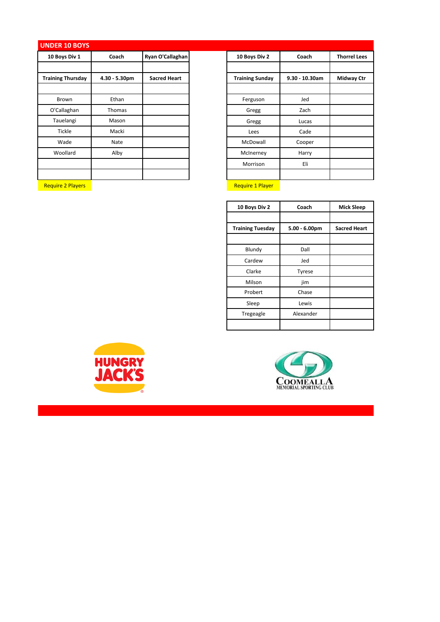## **UNDER 10 BOYS**

| 10 Boys Div 1            | Coach            | Ryan O'Callaghan    | 10 Boys Div 2          | Coach             | <b>Thorrel Lees</b> |
|--------------------------|------------------|---------------------|------------------------|-------------------|---------------------|
|                          |                  |                     |                        |                   |                     |
| <b>Training Thursday</b> | $4.30 - 5.30$ pm | <b>Sacred Heart</b> | <b>Training Sunday</b> | $9.30 - 10.30$ am | <b>Midway Ctr</b>   |
|                          |                  |                     |                        |                   |                     |
| Brown                    | Ethan            |                     | Ferguson               | Jed               |                     |
| O'Callaghan              | Thomas           |                     | Gregg                  | Zach              |                     |
| Tauelangi                | Mason            |                     | Gregg                  | Lucas             |                     |
| Tickle                   | Macki            |                     | Lees                   | Cade              |                     |
| Wade                     | Nate             |                     | McDowall               | Cooper            |                     |
| Woollard                 | Alby             |                     | McInerney              | Harry             |                     |
|                          |                  |                     | Morrison               | Eli               |                     |
|                          |                  |                     |                        |                   |                     |

| <b>Require 1 Player</b><br><b>Require 2 Players</b> |
|-----------------------------------------------------|
|-----------------------------------------------------|

| 10 Boys Div 2          | Coach          | <b>Thorrel Lees</b> |
|------------------------|----------------|---------------------|
|                        |                |                     |
| <b>Training Sunday</b> | 9.30 - 10.30am | <b>Midway Ctr</b>   |
|                        |                |                     |
| Ferguson               | Jed            |                     |
| Gregg                  | Zach           |                     |
| Gregg                  | Lucas          |                     |
| Lees                   | Cade           |                     |
| McDowall               | Cooper         |                     |
| McInerney              | Harry          |                     |
| Morrison               | Eli            |                     |
|                        |                |                     |
|                        |                |                     |

| 10 Boys Div 2           | Coach            | <b>Mick Sleep</b>   |
|-------------------------|------------------|---------------------|
|                         |                  |                     |
| <b>Training Tuesday</b> | $5.00 - 6.00$ pm | <b>Sacred Heart</b> |
|                         |                  |                     |
| Blundy                  | Dall             |                     |
| Cardew                  | Jed              |                     |
| Clarke                  | Tyrese           |                     |
| Milson                  | jim              |                     |
| Probert                 | Chase            |                     |
| Sleep                   | Lewis            |                     |
| Tregeagle               | Alexander        |                     |
|                         |                  |                     |



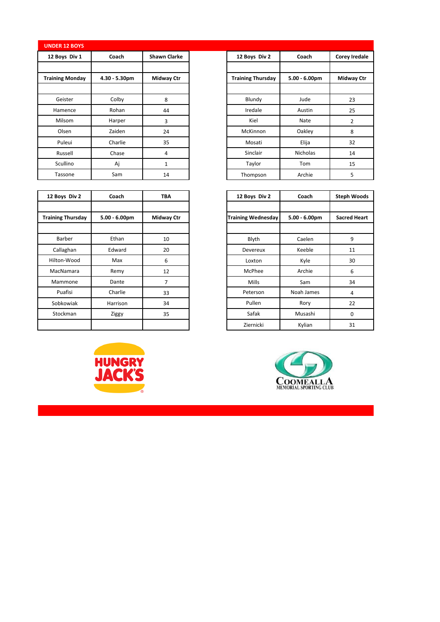|  | <b>UNDER 12 BOYS</b> |  |
|--|----------------------|--|
|  |                      |  |
|  |                      |  |

| 12 Boys Div 1          | Coach            | <b>Shawn Clarke</b> | 12 Boys Div 2            | Coach            | Corey Ir       |
|------------------------|------------------|---------------------|--------------------------|------------------|----------------|
|                        |                  |                     |                          |                  |                |
| <b>Training Monday</b> | $4.30 - 5.30$ pm | <b>Midway Ctr</b>   | <b>Training Thursday</b> | $5.00 - 6.00$ pm | Midwa          |
|                        |                  |                     |                          |                  |                |
| Geister                | Colby            | 8                   | Blundy                   | Jude             | 23             |
| Hamence                | Rohan            | 44                  | Iredale                  | Austin           | 25             |
| Milsom                 | Harper           | 3                   | Kiel                     | Nate             | $\overline{2}$ |
| Olsen                  | Zaiden           | 24                  | <b>McKinnon</b>          | Oakley           | 8              |
| Puleui                 | Charlie          | 35                  | Mosati                   | Elija            | 32             |
| Russell                | Chase            | 4                   | Sinclair                 | Nicholas         | 14             |
| Scullino               | Aj               | 1                   | Taylor                   | Tom              | 15             |
| Tassone                | Sam              | 14                  | Thompson                 | Archie           | 5              |

| 12 Boys Div 2            | Coach            | <b>TBA</b>        |
|--------------------------|------------------|-------------------|
|                          |                  |                   |
| <b>Training Thursday</b> | $5.00 - 6.00$ pm | <b>Midway Ctr</b> |
|                          |                  |                   |
| Barber                   | Ethan            | 10                |
| Callaghan                | Edward           | 20                |
| Hilton-Wood              | Max              | 6                 |
| MacNamara                | Remy             | 12                |
| Mammone                  | Dante            | 7                 |
| Puafisi                  | Charlie          | 33                |
| Sobkowiak                | Harrison         | 34                |
| Stockman                 | Ziggy            | 35                |
|                          |                  |                   |



| 12 Boys Div 2             | Coach            | <b>Steph Woods</b>  |  |
|---------------------------|------------------|---------------------|--|
|                           |                  |                     |  |
| <b>Training Wednesday</b> | $5.00 - 6.00$ pm | <b>Sacred Heart</b> |  |
|                           |                  |                     |  |
| Blyth                     | Caelen           | 9                   |  |
| Devereux                  | Keeble           | 11                  |  |
| Loxton                    | Kyle             | 30                  |  |
| McPhee                    | Archie           | 6                   |  |
| Mills                     | Sam              | 34                  |  |
| Peterson                  | Noah James       | 4                   |  |
| Pullen                    | Rory             | 22                  |  |
| Safak                     | Musashi          | 0                   |  |
| Ziernicki                 | Kylian           | 31                  |  |



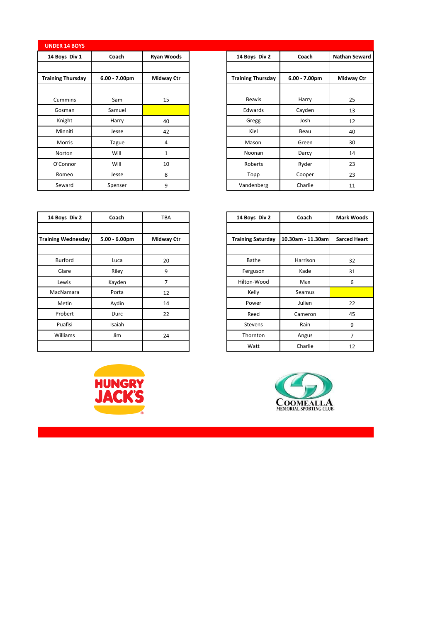| <b>UNDER 14 BOYS</b>     |                  |                   |
|--------------------------|------------------|-------------------|
| 14 Boys Div 1            | Coach            | <b>Ryan Woods</b> |
|                          |                  |                   |
| <b>Training Thursday</b> | $6.00 - 7.00$ pm | <b>Midway Ctr</b> |
|                          |                  |                   |
| Cummins                  | Sam              | 15                |
| Gosman                   | Samuel           |                   |
| Knight                   | Harry            | 40                |
| Minniti                  | Jesse            | 42                |
| Morris                   | Tague            | 4                 |
| Norton                   | Will             | $\mathbf{1}$      |
| O'Connor                 | Will             | 10                |
| Romeo                    | Jesse            | 8                 |
| Seward                   | Spenser          | 9                 |

| <b>INDER 14 BOYS</b> |                 |                   |                          |                  |                      |
|----------------------|-----------------|-------------------|--------------------------|------------------|----------------------|
| 14 Boys Div 1        | Coach           | <b>Ryan Woods</b> | 14 Boys Div 2            | Coach            | <b>Nathan Seward</b> |
|                      |                 |                   |                          |                  |                      |
| aining Thursday      | $6.00 - 7.00pm$ | Midway Ctr        | <b>Training Thursday</b> | $6.00 - 7.00$ pm | <b>Midway Ctr</b>    |
|                      |                 |                   |                          |                  |                      |
| Cummins              | Sam             | 15                | <b>Beavis</b>            | Harry            | 25                   |
| Gosman               | Samuel          |                   | Edwards                  | Cayden           | 13                   |
| Knight               | Harry           | 40                | Gregg                    | Josh             | 12                   |
| Minniti              | Jesse           | 42                | Kiel                     | Beau             | 40                   |
| Morris               | Tague           | 4                 | Mason                    | Green            | 30                   |
| Norton               | Will            | 1                 | Noonan                   | Darcy            | 14                   |
| O'Connor             | Will            | 10                | Roberts                  | Ryder            | 23                   |
| Romeo                | Jesse           | 8                 | Topp                     | Cooper           | 23                   |
| Seward               | Spenser         | 9                 | Vandenberg               | Charlie          | 11                   |

| 14 Boys Div 2             | Coach           | <b>TBA</b>        |
|---------------------------|-----------------|-------------------|
| <b>Training Wednesday</b> | $5.00 - 6.00pm$ | <b>Midway Ctr</b> |
| Burford                   | Luca            | 20                |
| Glare                     | Riley           | 9                 |
| Lewis                     | Kayden          | 7                 |
| MacNamara                 | Porta           | 12                |
| Metin                     | Aydin           | 14                |
| Probert                   | Durc            | 22                |
| Puafisi                   | Isaiah          |                   |
| Williams                  | Jim             | 24                |
|                           |                 |                   |



| 14 Boys Div 2     | Coach             | <b>Mark Woods</b>   |  |
|-------------------|-------------------|---------------------|--|
|                   |                   |                     |  |
| Training Saturday | 10.30am - 11.30am | <b>Sarced Heart</b> |  |
|                   |                   |                     |  |
| <b>Bathe</b>      | Harrison          | 32                  |  |
| Ferguson          | Kade              | 31                  |  |
| Hilton-Wood       | Max               | 6                   |  |
| Kelly             | Seamus            |                     |  |
| Power             | Julien            | 22                  |  |
| Reed              | Cameron           | 45                  |  |
| <b>Stevens</b>    | Rain              | 9                   |  |
| Thornton          | Angus             | 7                   |  |
| Watt              | Charlie           | 12                  |  |

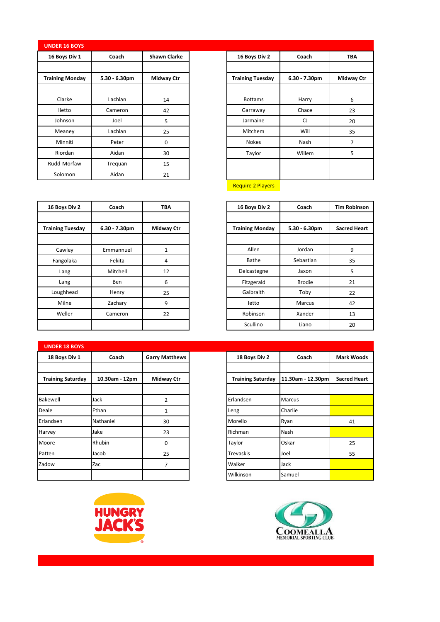## **UNDER 16 BOYS**

| 16 Boys Div 1          | Coach            | <b>Shawn Clarke</b> |
|------------------------|------------------|---------------------|
|                        |                  |                     |
| <b>Training Monday</b> | $5.30 - 6.30$ pm | <b>Midway Ctr</b>   |
|                        |                  |                     |
| Clarke                 | Lachlan          | 14                  |
| lietto                 | Cameron          | 42                  |
| Johnson                | Joel             | 5                   |
| Meaney                 | Lachlan          | 25                  |
| Minniti                | Peter            | $\mathbf 0$         |
| Riordan                | Aidan            | 30                  |
| Rudd-Morfaw            | Trequan          | 15                  |
| Solomon                | Aidan            | 21                  |

| 16 Boys Div 2           | Coach            | <b>TBA</b>        |
|-------------------------|------------------|-------------------|
|                         |                  |                   |
| <b>Training Tuesday</b> | $6.30 - 7.30$ pm | <b>Midway Ctr</b> |
|                         |                  |                   |
| <b>Bottams</b>          | Harry            | 6                 |
| Garraway                | Chace            | 23                |
| Jarmaine                | CJ               | 20                |
| Mitchem                 | Will             | 35                |
| <b>Nokes</b>            | Nash             | 7                 |
| Taylor                  | Willem           | 5                 |
|                         |                  |                   |
|                         |                  |                   |
|                         |                  |                   |

**Require 2 Players** 

| 16 Boys Div 2  | Coach            | <b>TBA</b>        |
|----------------|------------------|-------------------|
|                |                  |                   |
| aining Tuesday | $6.30 - 7.30$ pm | <b>Midway Ctr</b> |
|                |                  |                   |
| Cawley         | Emmannuel        | 1                 |
| Fangolaka      | Fekita           | 4                 |
| Lang           | Mitchell         | 12                |
| Lang           | <b>Ben</b>       | 6                 |
| Loughhead      | Henry            | 25                |
| Milne          | Zachary          | 9                 |
| Weller         | Cameron          | 22                |
|                |                  |                   |

| 16 Boys Div 2           | Coach            | <b>TBA</b>        | 16 Boys Div 2          | Coach            | <b>Tim Robinsor</b> |
|-------------------------|------------------|-------------------|------------------------|------------------|---------------------|
| <b>Training Tuesday</b> | $6.30 - 7.30$ pm | <b>Midway Ctr</b> | <b>Training Monday</b> | $5.30 - 6.30$ pm | <b>Sacred Heart</b> |
| Cawley                  | Emmannuel        | $\mathbf{1}$      | Allen                  | Jordan           | 9                   |
| Fangolaka               | Fekita           | 4                 | Bathe                  | Sebastian        | 35                  |
| Lang                    | Mitchell         | 12                | Delcastegne            | Jaxon            | 5                   |
| Lang                    | <b>Ben</b>       | 6                 | Fitzgerald             | <b>Brodie</b>    | 21                  |
| Loughhead               | Henry            | 25                | Galbraith              | Toby             | 22                  |
| Milne                   | Zachary          | 9                 | letto                  | Marcus           | 42                  |
| Weller                  | Cameron          | 22                | Robinson               | Xander           | 13                  |
|                         |                  |                   | Scullino               | Liano            | 20                  |

| <b>UNDER 18 BOYS</b>     |                |                       |                          |                   |  |
|--------------------------|----------------|-----------------------|--------------------------|-------------------|--|
| 18 Boys Div 1            | Coach          | <b>Garry Matthews</b> | 18 Boys Div 2            | Coach             |  |
|                          |                |                       |                          |                   |  |
| <b>Training Saturday</b> | 10.30am - 12pm | <b>Midway Ctr</b>     | <b>Training Saturday</b> | 11.30am - 12.30pm |  |
|                          |                |                       |                          |                   |  |
| Bakewell                 | Jack           | $\overline{2}$        | Erlandsen                | <b>Marcus</b>     |  |
| Deale                    | Ethan          | $\mathbf{1}$          | Leng                     | Charlie           |  |
| Erlandsen                | Nathaniel      | 30                    | Morello                  | Ryan              |  |
| Harvey                   | Jake           | 23                    | Richman                  | Nash              |  |
| Moore                    | Rhubin         | 0                     | Taylor                   | Oskar             |  |
| Patten                   | Jacob          | 25                    | <b>Trevaskis</b>         | Joel              |  |
| Zadow                    | Zac            | $\overline{7}$        | Walker                   | Jack              |  |
|                          |                |                       | Wilkinson                | Samuel            |  |





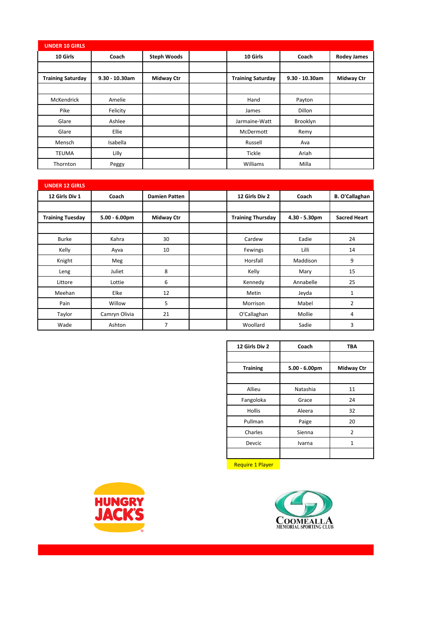| <b>UNDER 10 GIRLS</b>    |                   |                    |                          |                   |                    |
|--------------------------|-------------------|--------------------|--------------------------|-------------------|--------------------|
| 10 Girls                 | Coach             | <b>Steph Woods</b> | 10 Girls                 | Coach             | <b>Rodey James</b> |
|                          |                   |                    |                          |                   |                    |
| <b>Training Saturday</b> | $9.30 - 10.30$ am | <b>Midway Ctr</b>  | <b>Training Saturday</b> | $9.30 - 10.30$ am | <b>Midway Ctr</b>  |
|                          |                   |                    |                          |                   |                    |
| McKendrick               | Amelie            |                    | Hand                     | Payton            |                    |
| Pike                     | Felicity          |                    | James                    | <b>Dillon</b>     |                    |
| Glare                    | Ashlee            |                    | Jarmaine-Watt            | Brooklyn          |                    |
| Glare                    | <b>Ellie</b>      |                    | McDermott                | Remy              |                    |
| Mensch                   | Isabella          |                    | Russell                  | Ava               |                    |
| <b>TEUMA</b>             | Lilly             |                    | <b>Tickle</b>            | Ariah             |                    |
| Thornton                 | Peggy             |                    | Williams                 | Milla             |                    |

| <b>UNDER 12 GIRLS</b>   |                  |                      |                          |               |                       |
|-------------------------|------------------|----------------------|--------------------------|---------------|-----------------------|
| 12 Girls Div 1          | Coach            | <b>Damien Patten</b> | 12 Girls Div 2           | Coach         | <b>B. O'Callaghan</b> |
|                         |                  |                      |                          |               |                       |
| <b>Training Tuesday</b> | $5.00 - 6.00$ pm | <b>Midway Ctr</b>    | <b>Training Thursday</b> | 4.30 - 5.30pm | <b>Sacred Heart</b>   |
|                         |                  |                      |                          |               |                       |
| <b>Burke</b>            | Kahra            | 30                   | Cardew                   | Eadie         | 24                    |
| Kelly                   | Ayva             | 10                   | Fewings                  | Lilli         | 14                    |
| Knight                  | Meg              |                      | Horsfall                 | Maddison      | 9                     |
| Leng                    | Juliet           | 8                    | Kelly                    | Mary          | 15                    |
| Littore                 | Lottie           | 6                    | Kennedy                  | Annabelle     | 25                    |
| Meehan                  | Elke             | 12                   | Metin                    | Jeyda         | $\mathbf{1}$          |
| Pain                    | Willow           | 5                    | Morrison                 | Mabel         | 2                     |
| Taylor                  | Camryn Olivia    | 21                   | O'Callaghan              | Mollie        | 4                     |
| Wade                    | Ashton           | 7                    | Woollard                 | Sadie         | 3                     |

| 12 Girls Div 2  | Coach            | <b>TBA</b>        |
|-----------------|------------------|-------------------|
|                 |                  |                   |
| <b>Training</b> | $5.00 - 6.00$ pm | <b>Midway Ctr</b> |
|                 |                  |                   |
| Allieu          | Natashia         | 11                |
| Fangoloka       | Grace            | 24                |
| <b>Hollis</b>   | Aleera           | 32                |
| Pullman         | Paige            | 20                |
| Charles         | Sienna           | $\overline{2}$    |
| Devcic          | Ivarna           |                   |
|                 |                  |                   |

Require 1 Player